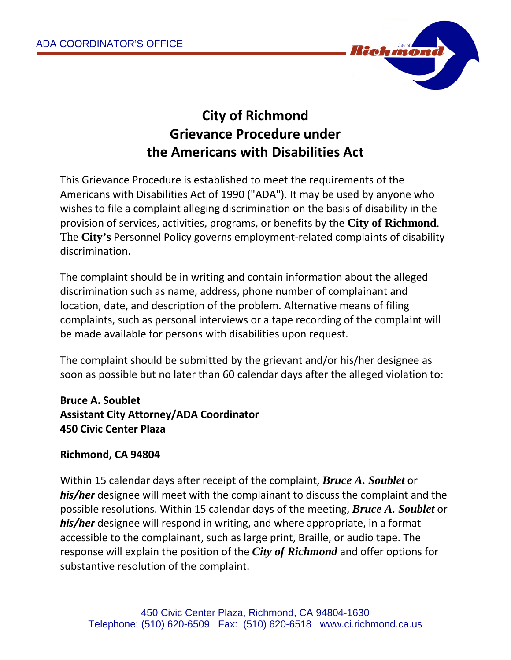

## **City of Richmond Grievance Procedure under the Americans with Disabilities Act**

This Grievance Procedure is established to meet the requirements of the Americans with Disabilities Act of 1990 ("ADA"). It may be used by anyone who wishes to file a complaint alleging discrimination on the basis of disability in the provision of services, activities, programs, or benefits by the **City of Richmond**. The **City's** Personnel Policy governs employment-related complaints of disability discrimination.

The complaint should be in writing and contain information about the alleged discrimination such as name, address, phone number of complainant and location, date, and description of the problem. Alternative means of filing complaints, such as personal interviews or a tape recording of the complaint will be made available for persons with disabilities upon request.

The complaint should be submitted by the grievant and/or his/her designee as soon as possible but no later than 60 calendar days after the alleged violation to:

**Bruce A. Soublet Assistant City Attorney/ADA Coordinator 450 Civic Center Plaza**

## **Richmond, CA 94804**

Within 15 calendar days after receipt of the complaint, *Bruce A. Soublet* or *his/her* designee will meet with the complainant to discuss the complaint and the possible resolutions. Within 15 calendar days of the meeting, *Bruce A. Soublet* or *his/her* designee will respond in writing, and where appropriate, in a format accessible to the complainant, such as large print, Braille, or audio tape. The response will explain the position of the *City of Richmond* and offer options for substantive resolution of the complaint.